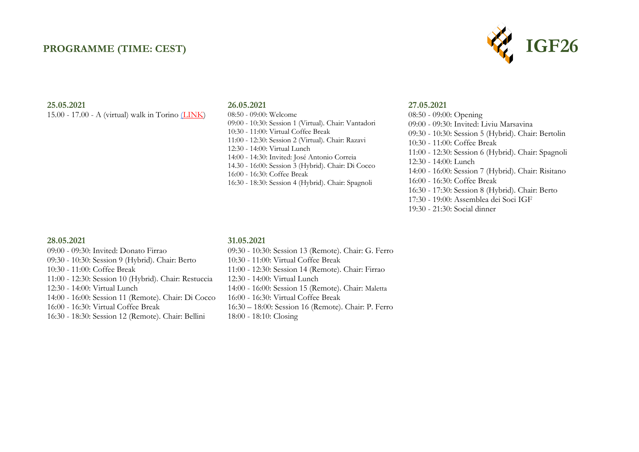### **PROGRAMME (TIME: CEST)**



#### **25.05.2021**

15.00 - 17.00 - A (virtual) walk in Torino [\(LINK\)](https://youtu.be/K6Inwu9mctg)

#### **26.05.2021**

08:50 - 09:00: Welcome 09:00 - 10:30: Session 1 (Virtual). Chair: Vantadori 10:30 - 11:00: Virtual Coffee Break 11:00 - 12:30: Session 2 (Virtual). Chair: Razavi 12:30 - 14:00: Virtual Lunch 14:00 - 14:30: Invited: José Antonio Correia 14.30 - 16:00: Session 3 (Hybrid). Chair: Di Cocco 16:00 - 16:30: Coffee Break 16:30 - 18:30: Session 4 (Hybrid). Chair: Spagnoli

#### **27.05.2021**

08:50 - 09:00: Opening 09:00 - 09:30: Invited: Liviu Marsavina 09:30 - 10:30: Session 5 (Hybrid). Chair: Bertolin 10:30 - 11:00: Coffee Break 11:00 - 12:30: Session 6 (Hybrid). Chair: Spagnoli 12:30 - 14:00: Lunch 14:00 - 16:00: Session 7 (Hybrid). Chair: Risitano 16:00 - 16:30: Coffee Break 16:30 - 17:30: Session 8 (Hybrid). Chair: Berto 17:30 - 19:00: Assemblea dei Soci IGF 19:30 - 21:30: Social dinner

#### **28.05.2021**

09:00 - 09:30: Invited: Donato Firrao 09:30 - 10:30: Session 9 (Hybrid). Chair: Berto 10:30 - 11:00: Coffee Break 11:00 - 12:30: Session 10 (Hybrid). Chair: Restuccia 12:30 - 14:00: Virtual Lunch 14:00 - 16:00: Session 11 (Remote). Chair: Di Cocco 16:00 - 16:30: Virtual Coffee Break 16:30 - 18:30: Session 12 (Remote). Chair: Bellini

### **31.05.2021**

- 09:30 10:30: Session 13 (Remote). Chair: G. Ferro 10:30 - 11:00: Virtual Coffee Break
- 11:00 12:30: Session 14 (Remote). Chair: Firrao
- 12:30 14:00: Virtual Lunch
- 14:00 16:00: Session 15 (Remote). Chair: Maletta
- 16:00 16:30: Virtual Coffee Break
- 16:30 18:00: Session 16 (Remote). Chair: P. Ferro
- 18:00 18:10: Closing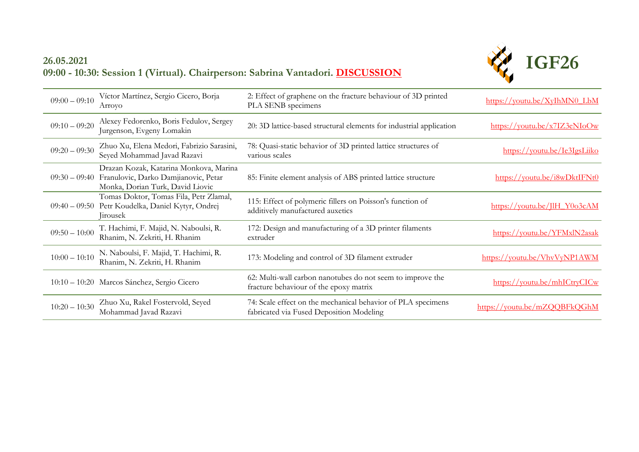## **26.05.2021 09:00 - 10:30: Session 1 (Virtual). Chairperson: Sabrina Vantadori. [DISCUSSION](https://youtu.be/7AST41dV9ak)**



| $09:00 - 09:10$ | Víctor Martínez, Sergio Cicero, Borja<br>Arroyo                                                                    | 2: Effect of graphene on the fracture behaviour of 3D printed<br>PLA SENB specimens                      | https://youtu.be/XyIhMN0 LbM                                        |
|-----------------|--------------------------------------------------------------------------------------------------------------------|----------------------------------------------------------------------------------------------------------|---------------------------------------------------------------------|
| $09:10 - 09:20$ | Alexey Fedorenko, Boris Fedulov, Sergey<br>Jurgenson, Evgeny Lomakin                                               | 20: 3D lattice-based structural elements for industrial application                                      | $\frac{https://voutu.be/x7IZ3eNIoOw}{https://voutu.be/x7IZ3eNIoOw}$ |
| $09:20 - 09:30$ | Zhuo Xu, Elena Medori, Fabrizio Sarasini,<br>Seyed Mohammad Javad Razavi                                           | 78: Quasi-static behavior of 3D printed lattice structures of<br>various scales                          | https://youtu.be/Ie3IgsLiiko                                        |
| $09:30 - 09:40$ | Drazan Kozak, Katarina Monkova, Marina<br>Franulovic, Darko Damjianovic, Petar<br>Monka, Dorian Turk, David Liovic | 85: Finite element analysis of ABS printed lattice structure                                             | https://youtu.be/i8wDktIFNt0                                        |
| $09:40 - 09:50$ | Tomas Doktor, Tomas Fila, Petr Zlamal,<br>Petr Koudelka, Daniel Kytyr, Ondrej<br>Jirousek                          | 115: Effect of polymeric fillers on Poisson's function of<br>additively manufactured auxetics            | https://youtu.be/JlH Y0o3cAM                                        |
| $09:50 - 10:00$ | T. Hachimi, F. Majid, N. Naboulsi, R.<br>Rhanim, N. Zekriti, H. Rhanim                                             | 172: Design and manufacturing of a 3D printer filaments<br>extruder                                      | https://youtu.be/YFMxlN2asak                                        |
| $10:00 - 10:10$ | N. Naboulsi, F. Majid, T. Hachimi, R.<br>Rhanim, N. Zekriti, H. Rhanim                                             | 173: Modeling and control of 3D filament extruder                                                        | https://youtu.be/VhvVyNP1AWM                                        |
|                 | 10:10 - 10:20 Marcos Sánchez, Sergio Cicero                                                                        | 62: Multi-wall carbon nanotubes do not seem to improve the<br>fracture behaviour of the epoxy matrix     | https://youtu.be/mhICtryCICw                                        |
| $10:20 - 10:30$ | Zhuo Xu, Rakel Fostervold, Seyed<br>Mohammad Javad Razavi                                                          | 74: Scale effect on the mechanical behavior of PLA specimens<br>fabricated via Fused Deposition Modeling | https://youtu.be/mZQQBFkQGhM                                        |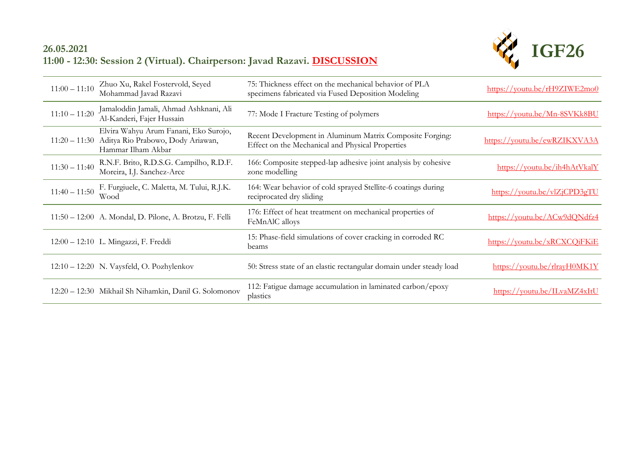## **26.05.2021 11:00 - 12:30: Session 2 (Virtual). Chairperson: Javad Razavi. [DISCUSSION](https://youtu.be/7AST41dV9ak)**



| $11:00 - 11:10$ | Zhuo Xu, Rakel Fostervold, Seyed<br>Mohammad Javad Razavi                                                      | 75: Thickness effect on the mechanical behavior of PLA<br>specimens fabricated via Fused Deposition Modeling | $\frac{\text{https://voutu.be/rH9ZIWE2mo0}}{h}$ |
|-----------------|----------------------------------------------------------------------------------------------------------------|--------------------------------------------------------------------------------------------------------------|-------------------------------------------------|
| $11:10 - 11:20$ | Jamaloddin Jamali, Ahmad Ashknani, Ali<br>Al-Kanderi, Fajer Hussain                                            | 77: Mode I Fracture Testing of polymers                                                                      | https://voutu.be/Mn-8SVKk8BU                    |
|                 | Elvira Wahyu Arum Fanani, Eko Surojo,<br>11:20 - 11:30 Aditya Rio Prabowo, Dody Ariawan,<br>Hammar Ilham Akbar | Recent Development in Aluminum Matrix Composite Forging:<br>Effect on the Mechanical and Physical Properties | https://youtu.be/ewRZIKXVA3A                    |
| $11:30 - 11:40$ | R.N.F. Brito, R.D.S.G. Campilho, R.D.F.<br>Moreira, I.J. Sanchez-Arce                                          | 166: Composite stepped-lap adhesive joint analysis by cohesive<br>zone modelling                             | https://youtu.be/ih4hAtVkalY                    |
| $11:40 - 11:50$ | F. Furgiuele, C. Maletta, M. Tului, R.J.K.<br>Wood                                                             | 164: Wear behavior of cold sprayed Stellite-6 coatings during<br>reciprocated dry sliding                    | https://voutu.be/vlZjCPD3gTU                    |
|                 | 11:50 - 12:00 A. Mondal, D. Pilone, A. Brotzu, F. Felli                                                        | 176: Effect of heat treatment on mechanical properties of<br>FeMnAlC alloys                                  | https://youtu.be/ACw9dQNdfz4                    |
|                 | 12:00 - 12:10 L. Mingazzi, F. Freddi                                                                           | 15: Phase-field simulations of cover cracking in corroded RC<br>beams                                        | https://youtu.be/xRCXCQiFKiE                    |
|                 | $12:10-12:20$ N. Vaysfeld, O. Pozhylenkov                                                                      | 50: Stress state of an elastic rectangular domain under steady load                                          | https://youtu.be/rlrayH0MK1Y                    |
|                 | 12:20 - 12:30 Mikhail Sh Nihamkin, Danil G. Solomonov                                                          | 112: Fatigue damage accumulation in laminated carbon/epoxy<br>plastics                                       | https://youtu.be/ILvaMZ4xItU                    |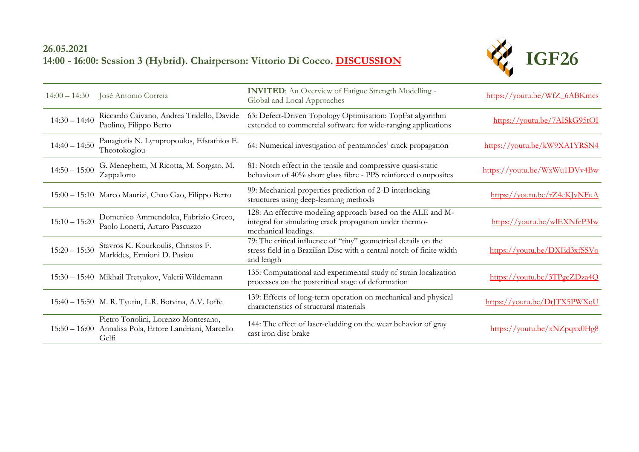## **26.05.2021 14:00 - 16:00: Session 3 (Hybrid). Chairperson: Vittorio Di Cocco. [DISCUSSION](https://youtu.be/Rid8hBf_5-8)**



| $14:00 - 14:30$ | José Antonio Correia                                                                      | <b>INVITED:</b> An Overview of Fatigue Strength Modelling -<br>Global and Local Approaches                                                             | https://youtu.be/WfZ 6ABKmcs                    |
|-----------------|-------------------------------------------------------------------------------------------|--------------------------------------------------------------------------------------------------------------------------------------------------------|-------------------------------------------------|
| $14:30 - 14:40$ | Riccardo Caivano, Andrea Tridello, Davide<br>Paolino, Filippo Berto                       | 63: Defect-Driven Topology Optimisation: TopFat algorithm<br>extended to commercial software for wide-ranging applications                             | https://voutu.be/7AISkG95tOI                    |
| $14:40 - 14:50$ | Panagiotis N. Lympropoulos, Efstathios E.<br>Theotokoglou                                 | 64: Numerical investigation of pentamodes' crack propagation                                                                                           | https://youtu.be/kW9XA1YRSN4                    |
| $14:50 - 15:00$ | G. Meneghetti, M Ricotta, M. Sorgato, M.<br>Zappalorto                                    | 81: Notch effect in the tensile and compressive quasi-static<br>behaviour of 40% short glass fibre - PPS reinforced composites                         | https://youtu.be/WxWu1DVv4Bw                    |
|                 | 15:00 - 15:10 Marco Maurizi, Chao Gao, Filippo Berto                                      | 99: Mechanical properties prediction of 2-D interlocking<br>structures using deep-learning methods                                                     | https://youtu.be/rZ4eKJvNFuA                    |
| $15:10 - 15:20$ | Domenico Ammendolea, Fabrizio Greco,<br>Paolo Lonetti, Arturo Pascuzzo                    | 128: An effective modeling approach based on the ALE and M-<br>integral for simulating crack propagation under thermo-<br>mechanical loadings.         | https://youtu.be/wlEXNfeP3Iw                    |
| $15:20 - 15:30$ | Stavros K. Kourkoulis, Christos F.<br>Markides, Ermioni D. Pasiou                         | 79: The critical influence of "tiny" geometrical details on the<br>stress field in a Brazilian Disc with a central notch of finite width<br>and length | https://voutu.be/DXEd3xfSSVo                    |
|                 | 15:30 - 15:40 Mikhail Tretyakov, Valerii Wildemann                                        | 135: Computational and experimental study of strain localization<br>processes on the postcritical stage of deformation                                 | https://youtu.be/3TPgeZDza4Q                    |
|                 | 15:40 - 15:50 M. R. Tyutin, L.R. Botvina, A.V. Ioffe                                      | 139: Effects of long-term operation on mechanical and physical<br>characteristics of structural materials                                              | https://youtu.be/DtJTX5PWXqU                    |
| $15:50 - 16:00$ | Pietro Tonolini, Lorenzo Montesano,<br>Annalisa Pola, Ettore Landriani, Marcello<br>Gelfi | 144: The effect of laser-cladding on the wear behavior of gray<br>cast iron disc brake                                                                 | $\frac{\text{https://voutu.be/xNZpqxx0Hg8}}{h}$ |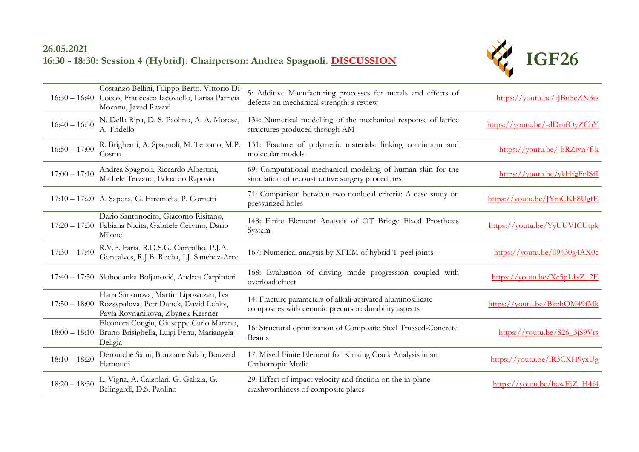## **26.05.2021 16:30 - 18:30: Session 4 (Hybrid). Chairperson: Andrea Spagnoli. [DISCUSSION](https://youtu.be/Rid8hBf_5-8)**



|                 | Costanzo Bellini, Filippo Berto, Vittorio Di<br>16:30 - 16:40 Cocco, Francesco Iacoviello, Larisa Patricia<br>Mocanu, Javad Razavi | 5: Additive Manufacturing processes for metals and effects of<br>defects on mechanical strength: a review            | https://youtu.be/fJBn5eZN3ts                                      |
|-----------------|------------------------------------------------------------------------------------------------------------------------------------|----------------------------------------------------------------------------------------------------------------------|-------------------------------------------------------------------|
| $16:40 - 16:50$ | N. Della Ripa, D. S. Paolino, A. A. Morese,<br>A. Tridello                                                                         | 134: Numerical modelling of the mechanical response of lattice<br>structures produced through AM                     | https://youtu.be/-dDmfOyZCbY                                      |
| $16:50 - 17:00$ | R. Brighenti, A. Spagnoli, M. Terzano, M.P.<br>Cosma                                                                               | 131: Fracture of polymeric materials: linking continuum and<br>molecular models                                      | https://youtu.be/-bRZivn7f-k                                      |
| $17:00 - 17:10$ | Andrea Spagnoli, Riccardo Albertini,<br>Michele Terzano, Edoardo Raposio                                                           | 69: Computational mechanical modeling of human skin for the<br>simulation of reconstructive surgery procedures       | https://voutu.be/ykHfgFnlSfI                                      |
|                 | 17:10 - 17:20 A. Sapora, G. Efremidis, P. Cornetti                                                                                 | 71: Comparison between two nonlocal criteria: A case study on<br>pressurized holes                                   | https://voutu.be/JYmCKh8UgfE                                      |
|                 | Dario Santonocito, Giacomo Risitano,<br>17:20 - 17:30 Fabiana Nicita, Gabriele Cervino, Dario<br>Milone                            | 148: Finite Element Analysis of OT Bridge Fixed Prosthesis<br>System                                                 | https://youtu.be/YyUUVICUtpk                                      |
| $17:30 - 17:40$ | R.V.F. Faria, R.D.S.G. Campilho, P.J.A.<br>Goncalves, R.J.B. Rocha, I.J. Sanchez-Arce                                              | 167: Numerical analysis by XFEM of hybrid T-peel joints                                                              | https://youtu.be/09430g4AX0c                                      |
|                 | 17:40 - 17:50 Slobodanka Boljanović, Andrea Carpinteri                                                                             | 168: Evaluation of driving mode progression coupled with<br>overload effect                                          | https://voutu.be/ $Xc5pL1sZ$ 2E                                   |
|                 | Hana Simonova, Martin Lipowczan, Iva<br>17:50 - 18:00 Rozsypalova, Petr Danek, David Lehky,<br>Pavla Rovnanikova, Zbynek Kersner   | 14: Fracture parameters of alkali-activated aluminosilicate<br>composites with ceramic precursor: durability aspects | https://youtu.be/BkzhQM49fMk                                      |
|                 | Eleonora Congiu, Giuseppe Carlo Marano,<br>18:00 - 18:10 Bruno Brisighella, Luigi Fenu, Mariangela<br>Deligia                      | 16: Structural optimization of Composite Steel Trussed-Concrete<br>Beams                                             | $\frac{https://voutu.be/S263jS9Vrs}{https://voutu.be/S263jS9Vrs}$ |
| $18:10 - 18:20$ | Derouiche Sami, Bouziane Salah, Bouzerd<br>Hamoudi                                                                                 | 17: Mixed Finite Element for Kinking Crack Analysis in an<br>Orthotropic Media                                       | https://youtu.be/iR3CXH9yxUg                                      |
| $18:20 - 18:30$ | L. Vigna, A. Calzolari, G. Galizia, G.<br>Belingardi, D.S. Paolino                                                                 | 29: Effect of impact velocity and friction on the in-plane<br>crashworthiness of composite plates                    | https://youtu.be/hawEjZ H4f4                                      |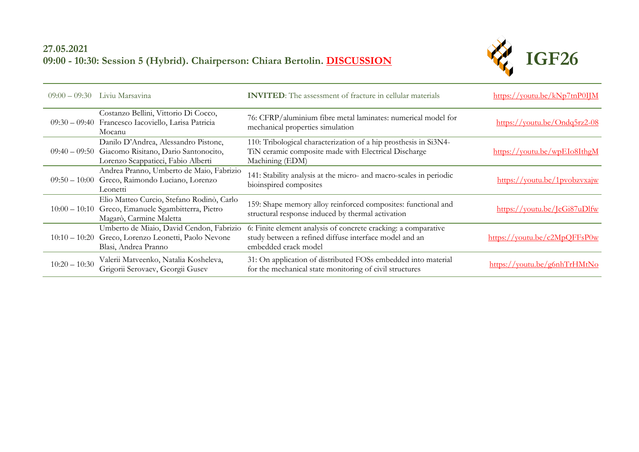## **27.05.2021 09:00 - 10:30: Session 5 (Hybrid). Chairperson: Chiara Bertolin. [DISCUSSION](https://youtu.be/netFRUmETK4)**



| $09:00 - 09:30$ | Liviu Marsavina                                                                                                                  | <b>INVITED:</b> The assessment of fracture in cellular materials                                                                                 | $\frac{https://voutu.be/kNp7tnPOIJM}{https://voutu.be/kNp7tnPOIJM}$ |
|-----------------|----------------------------------------------------------------------------------------------------------------------------------|--------------------------------------------------------------------------------------------------------------------------------------------------|---------------------------------------------------------------------|
|                 | Costanzo Bellini, Vittorio Di Cocco,<br>09:30 - 09:40 Francesco Iacoviello, Larisa Patricia<br>Mocanu                            | 76: CFRP/aluminium fibre metal laminates: numerical model for<br>mechanical properties simulation                                                | https://youtu.be/Ondq5rz2-08                                        |
|                 | Danilo D'Andrea, Alessandro Pistone,<br>09:40 - 09:50 Giacomo Risitano, Dario Santonocito,<br>Lorenzo Scappaticci, Fabio Alberti | 110: Tribological characterization of a hip prosthesis in Si3N4-<br>TiN ceramic composite made with Electrical Discharge<br>Machining (EDM)      | https://youtu.be/wpEIo8IthgM                                        |
|                 | Andrea Pranno, Umberto de Maio, Fabrizio<br>09:50 - 10:00 Greco, Raimondo Luciano, Lorenzo<br>Leonetti                           | 141: Stability analysis at the micro- and macro-scales in periodic<br>bioinspired composites                                                     | https://youtu.be/1pyobzyxajw                                        |
|                 | Elio Matteo Curcio, Stefano Rodinò, Carlo<br>10:00 - 10:10 Greco, Emanuele Sgambitterra, Pietro<br>Magarò, Carmine Maletta       | 159: Shape memory alloy reinforced composites: functional and<br>structural response induced by thermal activation                               | https://youtu.be/JeGi87uDlfw                                        |
| $10:10 - 10:20$ | Umberto de Miaio, David Cendon, Fabrizio<br>Greco, Lorenzo Leonetti, Paolo Nevone<br>Blasi, Andrea Pranno                        | 6: Finite element analysis of concrete cracking: a comparative<br>study between a refined diffuse interface model and an<br>embedded crack model | https://youtu.be/c2MpQFFsP0w                                        |
| $10:20 - 10:30$ | Valerii Matveenko, Natalia Kosheleva,<br>Grigorii Serovaev, Georgii Gusev                                                        | 31: On application of distributed FOSs embedded into material<br>for the mechanical state monitoring of civil structures                         | https://youtu.be/g6nhTrHMtNo                                        |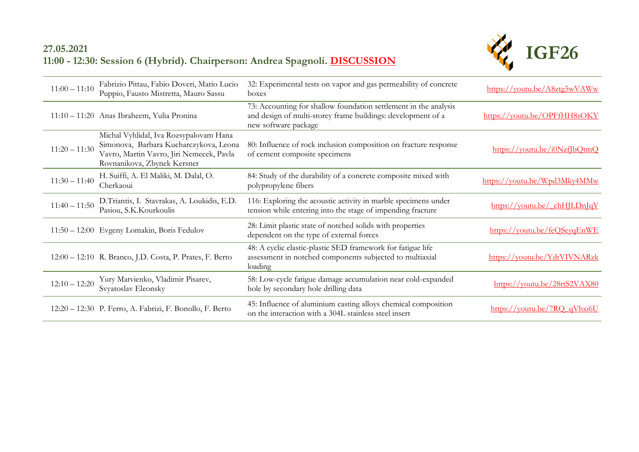## **27.05.2021 11:00 - 12:30: Session 6 (Hybrid). Chairperson: Andrea Spagnoli. [DISCUSSION](https://youtu.be/netFRUmETK4)**



| $11:00 - 11:10$ | Fabrizio Pittau, Fabio Doveri, Mario Lucio<br>Puppio, Fausto Mistretta, Mauro Sassu                                                                         | 32: Experimental tests on vapor and gas permeability of concrete<br>boxes                                                                                | https://youtu.be/A8ztg5wVAWw                                        |
|-----------------|-------------------------------------------------------------------------------------------------------------------------------------------------------------|----------------------------------------------------------------------------------------------------------------------------------------------------------|---------------------------------------------------------------------|
|                 | 11:10 - 11:20 Anas Ibraheem, Yulia Pronina                                                                                                                  | 73: Accounting for shallow foundation settlement in the analysis<br>and design of multi-storey frame buildings: development of a<br>new software package | https://youtu.be/OPFfHH8sOKY                                        |
| $11:20 - 11:30$ | Michal Vyhlidal, Iva Rozsypalovam Hana<br>Simonova, Barbara Kucharczykova, Leona<br>Vavro, Martin Vavro, Jiri Nemecek, Pavla<br>Rovnanikova, Zbynek Kersner | 80: Influence of rock inclusion composition on fracture response<br>of cement composite specimens                                                        | $\frac{https://voutu.be/i0NzffbQtmQ}{https://voutu.be/i0NzffbQtmQ}$ |
| $11:30 - 11:40$ | H. Suiffi, A. El Maliki, M. Dalal, O.<br>Cherkaoui                                                                                                          | 84: Study of the durability of a concrete composite mixed with<br>polypropylene fibers                                                                   | https://youtu.be/Wpd3Mky4MMw                                        |
| $11:40 - 11:50$ | D.Triantis, I. Stavrakas, A. Loukidis, E.D.<br>Pasiou, S.K.Kourkoulis                                                                                       | 116: Exploring the acoustic activity in marble specimens under<br>tension while entering into the stage of impending fracture                            | $\frac{https://voutu.be/chH LDn qY}{https://voutu.be/chH LDn qY}$   |
|                 | 11:50 - 12:00 Evgeny Lomakin, Boris Fedulov                                                                                                                 | 28: Limit plastic state of notched solids with properties<br>dependent on the type of external forces                                                    | https://youtu.be/feQSeyqEnWE                                        |
|                 | 12:00 - 12:10 R. Branco, J.D. Costa, P. Prates, F. Berto                                                                                                    | 48: A cyclic elastic-plastic SED framework for fatigue life<br>assessment in notched components subjected to multiaxial<br>loading                       | https://voutu.be/YdtVIVNARzk                                        |
| $12:10 - 12:20$ | Yury Matvienko, Vladimir Pisarev,<br>Svyatoslav Eleonsky                                                                                                    | 58: Low-cycle fatigue damage accumulation near cold-expanded<br>hole by secondary hole drilling data                                                     | https://voutu.be/28rtS2VAX80                                        |
|                 | 12:20 - 12:30 P. Ferro, A. Fabrizi, F. Bonollo, F. Berto                                                                                                    | 45: Influence of aluminium casting alloys chemical composition<br>on the interaction with a 304L stainless steel insert                                  | https://youtu.be/7RQ qVhxi6U                                        |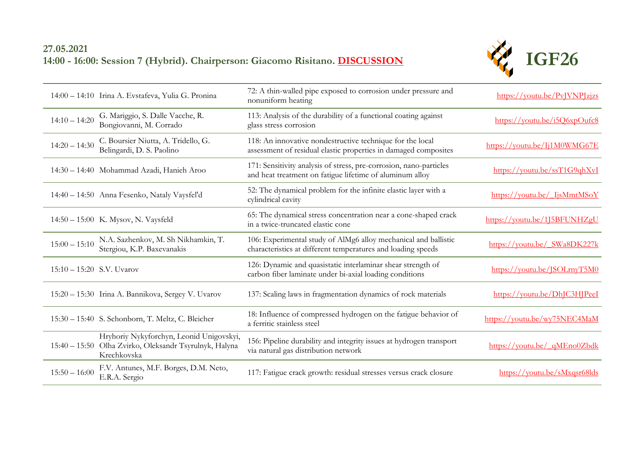# **27.05.2021 14:00 - 16:00: Session 7 (Hybrid). Chairperson: Giacomo Risitano. [DISCUSSION](https://youtu.be/wlRPDT1l024)**



|                             | 14:00 - 14:10 Irina A. Evstafeva, Yulia G. Pronina                                                                | 72: A thin-walled pipe exposed to corrosion under pressure and<br>nonuniform heating                                            | https://youtu.be/PvJVNPJzjzs |
|-----------------------------|-------------------------------------------------------------------------------------------------------------------|---------------------------------------------------------------------------------------------------------------------------------|------------------------------|
| $14:10 - 14:20$             | G. Mariggio, S. Dalle Vacche, R.<br>Bongiovanni, M. Corrado                                                       | 113: Analysis of the durability of a functional coating against<br>glass stress corrosion                                       | https://youtu.be/i5Q6xpOufc8 |
| $14:20 - 14:30$             | C. Boursier Niutta, A. Tridello, G.<br>Belingardi, D. S. Paolino                                                  | 118: An innovative nondestructive technique for the local<br>assessment of residual elastic properties in damaged composites    | https://youtu.be/Ij1M0WMG67E |
|                             | 14:30 - 14:40 Mohammad Azadi, Hanieh Aroo                                                                         | 171: Sensitivity analysis of stress, pre-corrosion, nano-particles<br>and heat treatment on fatigue lifetime of aluminum alloy  | https://youtu.be/ssT1G9qhXvI |
|                             | 14:40 - 14:50 Anna Fesenko, Nataly Vaysfel'd                                                                      | 52. The dynamical problem for the infinite elastic layer with a<br>cylindrical cavity                                           | https://youtu.be/ IjsMmtMSoY |
|                             | 14:50 - 15:00 K. Mysov, N. Vaysfeld                                                                               | 65: The dynamical stress concentration near a cone-shaped crack<br>in a twice-truncated elastic cone                            | https://voutu.be/1J5BFUNHZgU |
| $15:00 - 15:10$             | N.A. Sazhenkov, M. Sh Nikhamkin, T.<br>Stergiou, K.P. Baxevanakis                                                 | 106: Experimental study of AlMg6 alloy mechanical and ballistic<br>characteristics at different temperatures and loading speeds | https://youtu.be/ SWa8DK227k |
| $15:10 - 15:20$ S.V. Uvarov |                                                                                                                   | 126: Dynamic and quasistatic interlaminar shear strength of<br>carbon fiber laminate under bi-axial loading conditions          | https://youtu.be/JSOLrnyT5M0 |
|                             | 15:20 - 15:30 Irina A. Bannikova, Sergey V. Uvarov                                                                | 137: Scaling laws in fragmentation dynamics of rock materials                                                                   | https://youtu.be/DhJC3HJPeeI |
|                             | 15:30 - 15:40 S. Schonborn, T. Meltz, C. Bleicher                                                                 | 18: Influence of compressed hydrogen on the fatigue behavior of<br>a ferritic stainless steel                                   | https://youtu.be/wy75NEC4MaM |
|                             | Hryhoriy Nykyforchyn, Leonid Unigovskyi,<br>15:40 - 15:50 Olha Zvirko, Oleksandr Tsyrulnyk, Halyna<br>Krechkovska | 156: Pipeline durability and integrity issues at hydrogen transport<br>via natural gas distribution network                     | https://youtu.be/ qMEno0Zbdk |
| $15:50 - 16:00$             | F.V. Antunes, M.F. Borges, D.M. Neto,<br>E.R.A. Sergio                                                            | 117: Fatigue crack growth: residual stresses versus crack closure                                                               | https://youtu.be/sMxqsr68lds |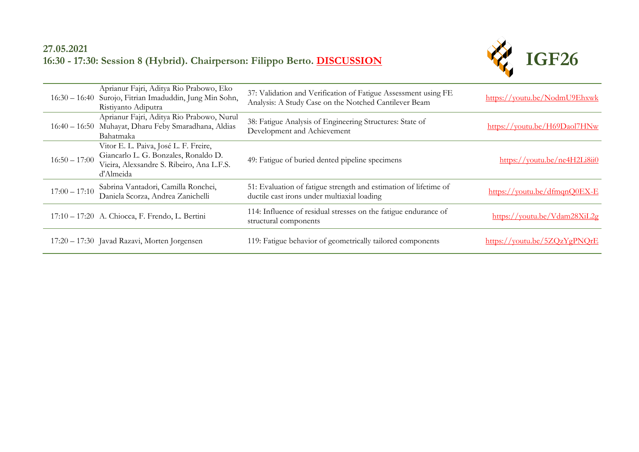## **27.05.2021 16:30 - 17:30: Session 8 (Hybrid). Chairperson: Filippo Berto. [DISCUSSION](https://youtu.be/wlRPDT1l024)**



|                 | Aprianur Fajri, Aditya Rio Prabowo, Eko<br>16:30 - 16:40 Surojo, Fitrian Imaduddin, Jung Min Sohn,<br>Ristiyanto Adiputra               | 37: Validation and Verification of Fatigue Assessment using FE<br>Analysis: A Study Case on the Notched Cantilever Beam | https://youtu.be/NodmU9Ehxwk                                        |
|-----------------|-----------------------------------------------------------------------------------------------------------------------------------------|-------------------------------------------------------------------------------------------------------------------------|---------------------------------------------------------------------|
|                 | Aprianur Fajri, Aditya Rio Prabowo, Nurul<br>16:40 - 16:50 Muhayat, Dharu Feby Smaradhana, Aldias<br>Bahatmaka                          | 38: Fatigue Analysis of Engineering Structures: State of<br>Development and Achievement                                 | https://youtu.be/H69Daol7HNw                                        |
| $16:50 - 17:00$ | Vitor E. L. Paiva, José L. F. Freire,<br>Giancarlo L. G. Bonzales, Ronaldo D.<br>Vieira, Alexsandre S. Ribeiro, Ana L.F.S.<br>d'Almeida | 49: Fatigue of buried dented pipeline specimens                                                                         | https://youtu.be/ne4H2Li8ii0                                        |
| $17:00 - 17:10$ | Sabrina Vantadori, Camilla Ronchei,<br>Daniela Scorza, Andrea Zanichelli                                                                | 51: Evaluation of fatigue strength and estimation of lifetime of<br>ductile cast irons under multiaxial loading         | $\frac{https://voutu.be/dfmqnO0EX-E}{https://voutu.be/dfmqnO0EX-E}$ |
|                 | 17:10 - 17:20 A. Chiocca, F. Frendo, L. Bertini                                                                                         | 114: Influence of residual stresses on the fatigue endurance of<br>structural components                                | https://youtu.be/Vdam28XiL2g                                        |
|                 | 17:20 - 17:30 Javad Razavi, Morten Jorgensen                                                                                            | 119: Fatigue behavior of geometrically tailored components                                                              | https://youtu.be/5ZQzYgPNQrE                                        |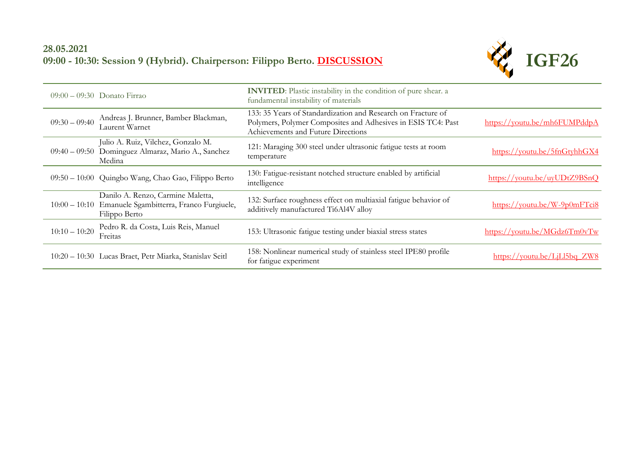## **28.05.2021 09:00 - 10:30: Session 9 (Hybrid). Chairperson: Filippo Berto. [DISCUSSION](https://youtu.be/obRFUiYld-s)**



|                 | $09:00 - 09:30$ Donato Firrao                                                                                | <b>INVITED</b> : Plastic instability in the condition of pure shear. a<br>fundamental instability of materials                                                     |                                                                     |
|-----------------|--------------------------------------------------------------------------------------------------------------|--------------------------------------------------------------------------------------------------------------------------------------------------------------------|---------------------------------------------------------------------|
| $09:30 - 09:40$ | Andreas J. Brunner, Bamber Blackman,<br>Laurent Warnet                                                       | 133: 35 Years of Standardization and Research on Fracture of<br>Polymers, Polymer Composites and Adhesives in ESIS TC4: Past<br>Achievements and Future Directions | https://youtu.be/mh6FUMPddpA                                        |
|                 | Julio A. Ruiz, Vilchez, Gonzalo M.<br>09:40 - 09:50 Dominguez Almaraz, Mario A., Sanchez<br>Medina           | 121: Maraging 300 steel under ultrasonic fatigue tests at room<br>temperature                                                                                      | https://voutu.be/5fnGtyhhGX4                                        |
|                 | 09:50 - 10:00 Quingbo Wang, Chao Gao, Filippo Berto                                                          | 130: Fatigue-resistant notched structure enabled by artificial<br>intelligence                                                                                     | https://youtu.be/uyUDtZ9BSnQ                                        |
|                 | Danilo A. Renzo, Carmine Maletta,<br>10:00 - 10:10 Emanuele Sgambitterra, Franco Furgiuele,<br>Filippo Berto | 132: Surface roughness effect on multiaxial fatigue behavior of<br>additively manufactured Ti6Al4V alloy                                                           | $\frac{https://voutu.be/W-9p0mFTci8}{https://voutu.be/W-9p0mFTci8}$ |
| $10:10 - 10:20$ | Pedro R. da Costa, Luis Reis, Manuel<br>Freitas                                                              | 153: Ultrasonic fatigue testing under biaxial stress states                                                                                                        | https://youtu.be/MGdz6Tm0vTw                                        |
|                 | 10:20 - 10:30 Lucas Braet, Petr Miarka, Stanislav Seitl                                                      | 158: Nonlinear numerical study of stainless steel IPE80 profile<br>for fatigue experiment                                                                          | $\frac{https://voutu.be/LjLl5bq ZW8}{https://voutu.be/LjLl5bq ZW8}$ |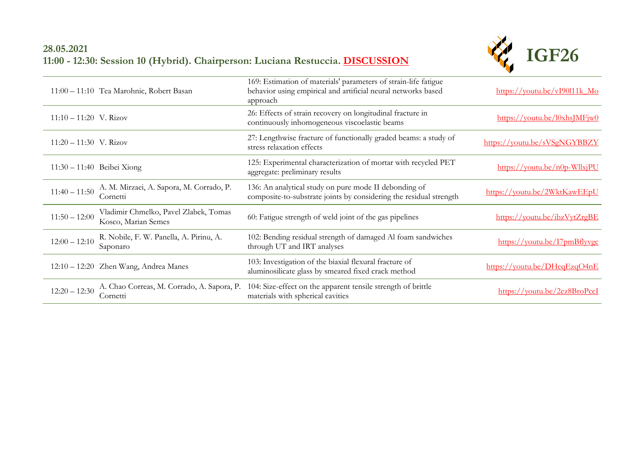## **28.05.2021 11:00 - 12:30: Session 10 (Hybrid). Chairperson: Luciana Restuccia. [DISCUSSION](https://youtu.be/obRFUiYld-s)**



|                          | 11:00 - 11:10 Tea Marohnic, Robert Basan                     | 169: Estimation of materials' parameters of strain-life fatigue<br>behavior using empirical and artificial neural networks based<br>approach | $\frac{\text{https://voutu.be/vI90111k} M_O}{\text{https://voutu.be/vI90111k} M_O}$ |
|--------------------------|--------------------------------------------------------------|----------------------------------------------------------------------------------------------------------------------------------------------|-------------------------------------------------------------------------------------|
| $11:10 - 11:20$ V. Rizov |                                                              | 26: Effects of strain recovery on longitudinal fracture in<br>continuously inhomogeneous viscoelastic beams                                  | $\frac{\text{https://voutu.be/10xhs}M\text{Fix0}}{N}$                               |
| $11:20 - 11:30$ V. Rizov |                                                              | 27: Lengthwise fracture of functionally graded beams: a study of<br>stress relaxation effects                                                | https://youtu.be/sVSgNGYBBZY                                                        |
|                          | $11:30 - 11:40$ Beibei Xiong                                 | 125: Experimental characterization of mortar with recycled PET<br>aggregate: preliminary results                                             | $\frac{https://voutu.be/n0p-WllxjPU}{https://voutu.be/n0p-WllxjPU}$                 |
| $11:40 - 11:50$          | A. M. Mirzaei, A. Sapora, M. Corrado, P.<br>Cornetti         | 136: An analytical study on pure mode II debonding of<br>composite-to-substrate joints by considering the residual strength                  | https://youtu.be/2WktKawEEpU                                                        |
| $11:50 - 12:00$          | Vladimir Chmelko, Pavel Zlabek, Tomas<br>Kosco, Marian Semes | 60: Fatigue strength of weld joint of the gas pipelines                                                                                      | https://voutu.be/ibzVytZrgBE                                                        |
| $12:00 - 12:10$          | R. Nobile, F. W. Panella, A. Pirinu, A.<br>Saponaro          | 102: Bending residual strength of damaged Al foam sandwiches<br>through UT and IRT analyses                                                  | https://youtu.be/I7pmBflyvgc                                                        |
|                          | 12:10 - 12:20 Zhen Wang, Andrea Manes                        | 103: Investigation of the biaxial flexural fracture of<br>aluminosilicate glass by smeared fixed crack method                                | https://youtu.be/DHeqEzqO4nE                                                        |
| $12:20 - 12:30$          | A. Chao Correas, M. Corrado, A. Sapora, P.<br>Cornetti       | 104: Size-effect on the apparent tensile strength of brittle<br>materials with spherical cavities                                            | https://youtu.be/2ez8BroPccI                                                        |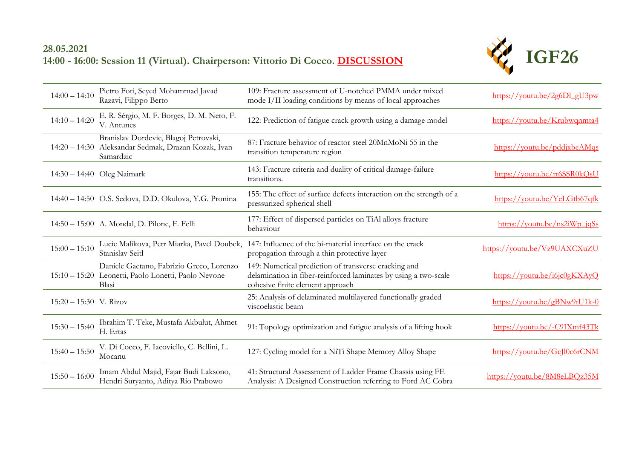## **28.05.2021 14:00 - 16:00: Session 11 (Virtual). Chairperson: Vittorio Di Cocco. [DISCUSSION](https://youtu.be/obRFUiYld-s)**



| $14:00 - 14:10$          | Pietro Foti, Seyed Mohammad Javad<br>Razavi, Filippo Berto                                                | 109: Fracture assessment of U-notched PMMA under mixed<br>mode I/II loading conditions by means of local approaches                                         | $\frac{\text{https://voutu.be/2g6D1 gU3pw}}{$                       |
|--------------------------|-----------------------------------------------------------------------------------------------------------|-------------------------------------------------------------------------------------------------------------------------------------------------------------|---------------------------------------------------------------------|
| $14:10 - 14:20$          | E. R. Sérgio, M. F. Borges, D. M. Neto, F.<br>V. Antunes                                                  | 122: Prediction of fatigue crack growth using a damage model                                                                                                | https://voutu.be/Krubwqnmta4                                        |
|                          | Branislav Dordevic, Blagoj Petrovski,<br>14:20 - 14:30 Aleksandar Sedmak, Drazan Kozak, Ivan<br>Samardzic | 87: Fracture behavior of reactor steel 20MnMoNi 55 in the<br>transition temperature region                                                                  | https://voutu.be/pddjxbeAMqs                                        |
|                          | 14:30 - 14:40 Oleg Naimark                                                                                | 143: Fracture criteria and duality of critical damage-failure<br>transitions.                                                                               | https://youtu.be/rt6SSR0kQsU                                        |
|                          | 14:40 - 14:50 O.S. Sedova, D.D. Okulova, Y.G. Pronina                                                     | 155: The effect of surface defects interaction on the strength of a<br>pressurized spherical shell                                                          | https://youtu.be/YeLGtb67qfk                                        |
|                          | 14:50 - 15:00 A. Mondal, D. Pilone, F. Felli                                                              | 177: Effect of dispersed particles on TiAl alloys fracture<br>behaviour                                                                                     | $\frac{https://voutu.be/ns2iWp-igSs}{https://voutu.be/ns2iWp-igSs}$ |
|                          |                                                                                                           |                                                                                                                                                             |                                                                     |
| $15:00 - 15:10$          | Lucie Malikova, Petr Miarka, Pavel Doubek,<br>Stanislav Seitl                                             | 147: Influence of the bi-material interface on the crack<br>propagation through a thin protective layer                                                     | https://youtu.be/Vz9UAXCXuZU                                        |
|                          | Daniele Gaetano, Fabrizio Greco, Lorenzo<br>15:10 - 15:20 Leonetti, Paolo Lonetti, Paolo Nevone<br>Blasi  | 149: Numerical prediction of transverse cracking and<br>delamination in fiber-reinforced laminates by using a two-scale<br>cohesive finite element approach | https://youtu.be/i6jc0gKXAyQ                                        |
| $15:20 - 15:30$ V. Rizov |                                                                                                           | 25: Analysis of delaminated multilayered functionally graded<br>viscoelastic beam                                                                           | https://youtu.be/gBNw9tU1k-0                                        |
| $15:30 - 15:40$          | Ibrahim T. Teke, Mustafa Akbulut, Ahmet<br>H. Ertas                                                       | 91: Topology optimization and fatigue analysis of a lifting hook                                                                                            | https://youtu.be/-C9IXmf43Tk                                        |
| $15:40 - 15:50$          | V. Di Cocco, F. Iacoviello, C. Bellini, L.<br>Mocanu                                                      | 127: Cycling model for a NiTi Shape Memory Alloy Shape                                                                                                      | https://youtu.be/GcJl0c6rCNM                                        |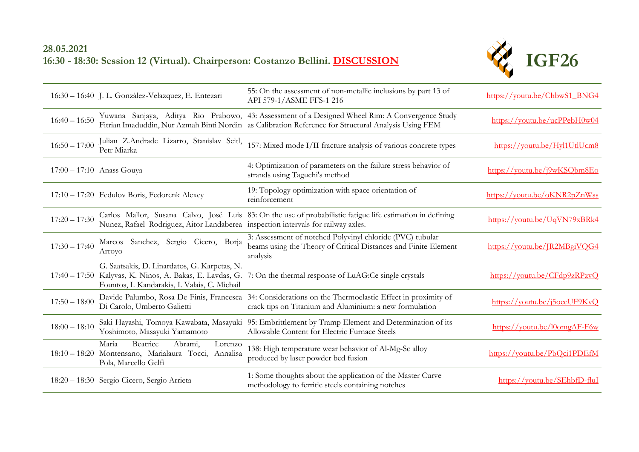## **28.05.2021 16:30 - 18:30: Session 12 (Virtual). Chairperson: Costanzo Bellini. [DISCUSSION](https://youtu.be/obRFUiYld-s)**



|                 | 16:30 - 16:40 J. L. Gonzàlez-Velazquez, E. Entezari                                                                     | 55: On the assessment of non-metallic inclusions by part 13 of<br>API 579-1/ASME FFS-1 216                                                                                                              | https://youtu.be/ChbwS1_BNG4 |
|-----------------|-------------------------------------------------------------------------------------------------------------------------|---------------------------------------------------------------------------------------------------------------------------------------------------------------------------------------------------------|------------------------------|
| $16:40 - 16:50$ |                                                                                                                         | Yuwana Sanjaya, Aditya Rio Prabowo, 43: Assessment of a Designed Wheel Rim: A Convergence Study<br>Fitrian Imaduddin, Nur Azmah Binti Nordin as Calibration Reference for Structural Analysis Using FEM | https://youtu.be/ucPPebH0w04 |
| $16:50 - 17:00$ | Julian Z.Andrade Lizarro, Stanislav Seitl,<br>Petr Miarka                                                               | 157: Mixed mode I/II fracture analysis of various concrete types                                                                                                                                        | https://youtu.be/Hyl1UtlUcm8 |
|                 | $17:00 - 17:10$ Anass Gouya                                                                                             | 4: Optimization of parameters on the failure stress behavior of<br>strands using Taguchi's method                                                                                                       | https://youtu.be/j9wKSQbm8Eo |
|                 | 17:10 - 17:20 Fedulov Boris, Fedorenk Alexey                                                                            | 19: Topology optimization with space orientation of<br>reinforcement                                                                                                                                    | https://youtu.be/oKNR2pZnWss |
| $17:20 - 17:30$ | Nunez, Rafael Rodriguez, Aitor Landaberea inspection intervals for railway axles.                                       | Carlos Mallor, Susana Calvo, José Luis 83: On the use of probabilistic fatigue life estimation in defining                                                                                              | https://voutu.be/UqVN79xBRk4 |
| $17:30 - 17:40$ | Marcos Sanchez, Sergio Cicero, Borja<br>Arroyo                                                                          | 3: Assessment of notched Polyvinyl chloride (PVC) tubular<br>beams using the Theory of Critical Distances and Finite Element<br>analysis                                                                | https://youtu.be/JR2MBgiVQG4 |
|                 | G. Saatsakis, D. Linardatos, G. Karpetas, N.<br>Fountos, I. Kandarakis, I. Valais, C. Michail                           | 17:40 – 17:50 Kalyvas, K. Ninos, A. Bakas, E. Lavdas, G. 7: On the thermal response of LuAG:Ce single crystals                                                                                          | https://youtu.be/CFdp9zRPzvQ |
| $17:50 - 18:00$ | Di Carolo, Umberto Galietti                                                                                             | Davide Palumbo, Rosa De Finis, Francesca 34: Considerations on the Thermoelastic Effect in proximity of<br>crack tips on Titanium and Aluminium: a new formulation                                      | https://voutu.be/j5oeeUF9KvQ |
| $18:00 - 18:10$ | Yoshimoto, Masayuki Yamamoto                                                                                            | Saki Hayashi, Tomoya Kawabata, Masayuki 95: Embrittlement by Tramp Element and Determination of its<br>Allowable Content for Electric Furnace Steels                                                    | https://youtu.be/l0omgAF-F6w |
|                 | Beatrice<br>Maria<br>Abrami,<br>Lorenzo<br>18:10 - 18:20 Montensano, Marialaura Tocci, Annalisa<br>Pola, Marcello Gelfi | 138: High temperature wear behavior of Al-Mg-Sc alloy<br>produced by laser powder bed fusion                                                                                                            | https://youtu.be/PbQci1PDEfM |
|                 | 18:20 - 18:30 Sergio Cicero, Sergio Arrieta                                                                             | 1: Some thoughts about the application of the Master Curve<br>methodology to ferritic steels containing notches                                                                                         | https://voutu.be/SEhbfD-fluI |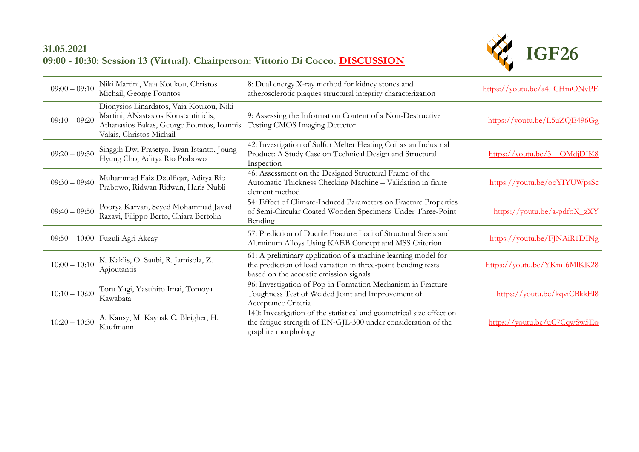## **31.05.2021 09:00 - 10:30: Session 13 (Virtual). Chairperson: Vittorio Di Cocco. [DISCUSSION](https://youtu.be/xZpCYML-CX4)**



| $09:00 - 09:10$ | Niki Martini, Vaia Koukou, Christos<br>Michail, George Fountos                                                                                          | 8: Dual energy X-ray method for kidney stones and<br>atherosclerotic plaques structural integrity characterization                                                       | https://youtu.be/a4LCHmONvPE                                    |
|-----------------|---------------------------------------------------------------------------------------------------------------------------------------------------------|--------------------------------------------------------------------------------------------------------------------------------------------------------------------------|-----------------------------------------------------------------|
| $09:10 - 09:20$ | Dionysios Linardatos, Vaia Koukou, Niki<br>Martini, ANastasios Konstantinidis,<br>Athanasios Bakas, George Fountos, Ioannis<br>Valais, Christos Michail | 9: Assessing the Information Content of a Non-Destructive<br>Testing CMOS Imaging Detector                                                                               | https://voutu.be/L5uZQE496Gg                                    |
| $09:20 - 09:30$ | Singgih Dwi Prasetyo, Iwan Istanto, Joung<br>Hyung Cho, Aditya Rio Prabowo                                                                              | 42: Investigation of Sulfur Melter Heating Coil as an Industrial<br>Product: A Study Case on Technical Design and Structural<br>Inspection                               | $\frac{https://voutu.be/3OMdjDIK8}{https://voutu.be/3OMdjDIK8}$ |
| $09:30 - 09:40$ | Muhammad Faiz Dzulfiqar, Aditya Rio<br>Prabowo, Ridwan Ridwan, Haris Nubli                                                                              | 46: Assessment on the Designed Structural Frame of the<br>Automatic Thickness Checking Machine - Validation in finite<br>element method                                  | https://youtu.be/oqYIYUWpsSc                                    |
| $09:40 - 09:50$ | Poorya Karvan, Seyed Mohammad Javad<br>Razavi, Filippo Berto, Chiara Bertolin                                                                           | 54: Effect of Climate-Induced Parameters on Fracture Properties<br>of Semi-Circular Coated Wooden Specimens Under Three-Point<br>Bending                                 | $\frac{https://youtu.be/a-pdfoX_ZXY}{?}$                        |
|                 | 09:50 - 10:00 Fuzuli Agri Akcay                                                                                                                         | 57: Prediction of Ductile Fracture Loci of Structural Steels and<br>Aluminum Alloys Using KAEB Concept and MSS Criterion                                                 | https://youtu.be/FJNAiR1DINg                                    |
| $10:00 - 10:10$ | K. Kaklis, O. Saubi, R. Jamisola, Z.<br>Agioutantis                                                                                                     | 61: A preliminary application of a machine learning model for<br>the prediction of load variation in three-point bending tests<br>based on the acoustic emission signals | https://youtu.be/YKmI6MlKK28                                    |
| $10:10 - 10:20$ | Toru Yagi, Yasuhito Imai, Tomoya<br>Kawabata                                                                                                            | 96: Investigation of Pop-in Formation Mechanism in Fracture<br>Toughness Test of Welded Joint and Improvement of<br>Acceptance Criteria                                  | https://youtu.be/kqviCBkkEl8                                    |
| $10:20 - 10:30$ | A. Kansy, M. Kaynak C. Bleigher, H.<br>Kaufmann                                                                                                         | 140: Investigation of the statistical and geometrical size effect on<br>the fatigue strength of EN-GJL-300 under consideration of the<br>graphite morphology             | https://youtu.be/uC7CqwSw5Eo                                    |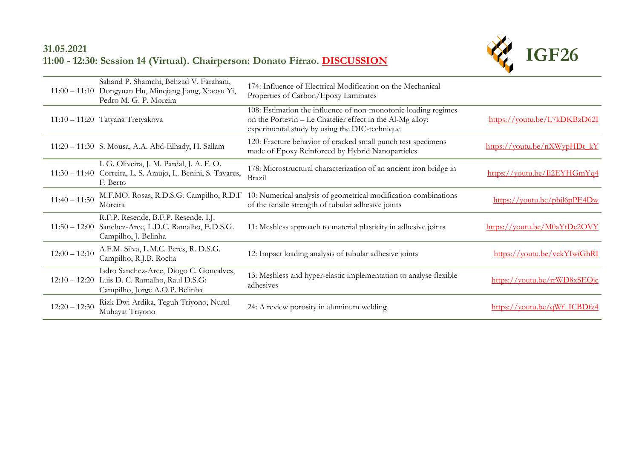## **31.05.2021 11:00 - 12:30: Session 14 (Virtual). Chairperson: Donato Firrao. [DISCUSSION](https://youtu.be/xZpCYML-CX4)**



|                 | Sahand P. Shamchi, Behzad V. Farahani,<br>11:00 - 11:10 Dongyuan Hu, Minqiang Jiang, Xiaosu Yi,<br>Pedro M. G. P. Moreira | 174: Influence of Electrical Modification on the Mechanical<br>Properties of Carbon/Epoxy Laminates                                                                          |                                                                     |
|-----------------|---------------------------------------------------------------------------------------------------------------------------|------------------------------------------------------------------------------------------------------------------------------------------------------------------------------|---------------------------------------------------------------------|
|                 | 11:10 - 11:20 Tatyana Tretyakova                                                                                          | 108: Estimation the influence of non-monotonic loading regimes<br>on the Portevin - Le Chatelier effect in the Al-Mg alloy:<br>experimental study by using the DIC-technique | https://youtu.be/L7kDKBzD62I                                        |
|                 | 11:20 - 11:30 S. Mousa, A.A. Abd-Elhady, H. Sallam                                                                        | 120: Fracture behavior of cracked small punch test specimens<br>made of Epoxy Reinforced by Hybrid Nanoparticles                                                             | https://youtu.be/nXWypHDt $kY$                                      |
|                 | I. G. Oliveira, J. M. Pardal, J. A. F. O.<br>11:30 - 11:40 Correira, L. S. Araujo, L. Benini, S. Tavares,<br>F. Berto     | 178: Microstructural characterization of an ancient iron bridge in<br>Brazil                                                                                                 | https://youtu.be/Ii2EYHGmYq4                                        |
| $11:40 - 11:50$ | M.F.MO. Rosas, R.D.S.G. Campilho, R.D.F<br>Moreira                                                                        | 10: Numerical analysis of geometrical modification combinations<br>of the tensile strength of tubular adhesive joints                                                        | $\frac{https://voutu.be/phi16pPE4Dw}{https://voutu.be/phi16pPE4Dw}$ |
|                 | R.F.P. Resende, B.F.P. Resende, I.J.<br>11:50 - 12:00 Sanchez-Arce, L.D.C. Ramalho, E.D.S.G.<br>Campilho, J. Belinha      | 11: Meshless approach to material plasticity in adhesive joints                                                                                                              | https://youtu.be/M0aYtDc2OVY                                        |
| $12:00 - 12:10$ | A.F.M. Silva, L.M.C. Peres, R. D.S.G.<br>Campilho, R.J.B. Rocha                                                           | 12: Impact loading analysis of tubular adhesive joints                                                                                                                       | https://youtu.be/vekYIwiGhRI                                        |
| $12:10 - 12:20$ | Isdro Sanchez-Arce, Diogo C. Goncalves,<br>Luis D. C. Ramalho, Raul D.S.G:<br>Campilho, Jorge A.O.P. Belinha              | 13: Meshless and hyper-elastic implementation to analyse flexible<br>adhesives                                                                                               | https://youtu.be/rrWD8xSEQjc                                        |
| $12:20 - 12:30$ | Rizk Dwi Ardika, Teguh Triyono, Nurul<br>Muhayat Triyono                                                                  | 24: A review porosity in aluminum welding                                                                                                                                    | https://youtu.be/qWf ICBDfz4                                        |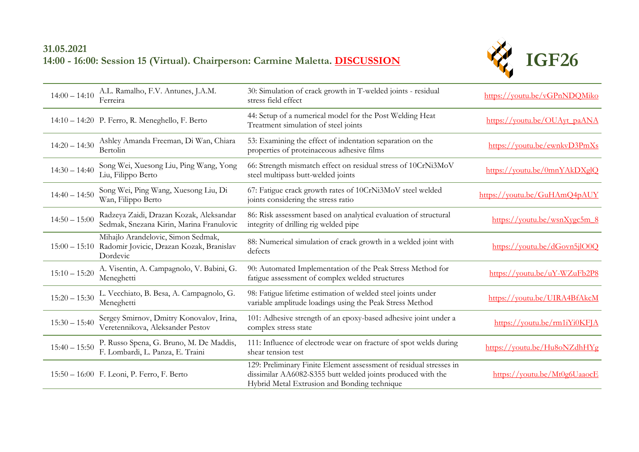## **31.05.2021 14:00 - 16:00: Session 15 (Virtual). Chairperson: Carmine Maletta. [DISCUSSION](https://youtu.be/ddWhBeeTmFw)**



| $14:00 - 14:10$ | A.L. Ramalho, F.V. Antunes, J.A.M.<br>Ferreira                                             | 30: Simulation of crack growth in T-welded joints - residual<br>stress field effect                                                                                               | https://youtu.be/vGPnNDQMiko |
|-----------------|--------------------------------------------------------------------------------------------|-----------------------------------------------------------------------------------------------------------------------------------------------------------------------------------|------------------------------|
|                 | 14:10 - 14:20 P. Ferro, R. Meneghello, F. Berto                                            | 44: Setup of a numerical model for the Post Welding Heat<br>Treatment simulation of steel joints                                                                                  | https://youtu.be/OUAyt_paANA |
| $14:20 - 14:30$ | Ashley Amanda Freeman, Di Wan, Chiara<br>Bertolin                                          | 53: Examining the effect of indentation separation on the<br>properties of proteinaceous adhesive films                                                                           | https://youtu.be/ewnkyD3PmXs |
| $14:30 - 14:40$ | Song Wei, Xuesong Liu, Ping Wang, Yong<br>Liu, Filippo Berto                               | 66: Strength mismatch effect on residual stress of 10CrNi3MoV<br>steel multipass butt-welded joints                                                                               | https://youtu.be/0mnYAkDXglQ |
| $14:40 - 14:50$ | Song Wei, Ping Wang, Xuesong Liu, Di<br>Wan, Filippo Berto                                 | 67: Fatigue crack growth rates of 10CrNi3MoV steel welded<br>joints considering the stress ratio                                                                                  | https://youtu.be/GuHAmQ4pAUY |
| $14:50 - 15:00$ | Radzeya Zaidi, Drazan Kozak, Aleksandar<br>Sedmak, Snezana Kirin, Marina Franulovic        | 86: Risk assessment based on analytical evaluation of structural<br>integrity of drilling rig welded pipe                                                                         | https://voutu.be/wsnXygc5m 8 |
| $15:00 - 15:10$ | Mihajlo Arandelovic, Simon Sedmak,<br>Radomir Jovicic, Drazan Kozak, Branislav<br>Dordevic | 88: Numerical simulation of crack growth in a welded joint with<br>defects                                                                                                        | https://youtu.be/dGovn5jlO0Q |
| $15:10 - 15:20$ | A. Visentin, A. Campagnolo, V. Babini, G.<br>Meneghetti                                    | 90: Automated Implementation of the Peak Stress Method for<br>fatigue assessment of complex welded structures                                                                     | https://youtu.be/uY-WZuFb2P8 |
| $15:20 - 15:30$ | L. Vecchiato, B. Besa, A. Campagnolo, G.<br>Meneghetti                                     | 98: Fatigue lifetime estimation of welded steel joints under<br>variable amplitude loadings using the Peak Stress Method                                                          | https://youtu.be/UIRA4BfAkcM |
| $15:30 - 15:40$ | Sergey Smirnov, Dmitry Konovalov, Irina,<br>Veretennikova, Aleksander Pestov               | 101: Adhesive strength of an epoxy-based adhesive joint under a<br>complex stress state                                                                                           | https://youtu.be/rm1iYi0KFJA |
| $15:40 - 15:50$ | P. Russo Spena, G. Bruno, M. De Maddis,<br>F. Lombardi, L. Panza, E. Traini                | 111: Influence of electrode wear on fracture of spot welds during<br>shear tension test                                                                                           | https://youtu.be/Hu8oNZdhHYg |
|                 | 15:50 - 16:00 F. Leoni, P. Ferro, F. Berto                                                 | 129: Preliminary Finite Element assessment of residual stresses in<br>dissimilar AA6082-S355 butt welded joints produced with the<br>Hybrid Metal Extrusion and Bonding technique | https://voutu.be/Mt0g6UaaocE |